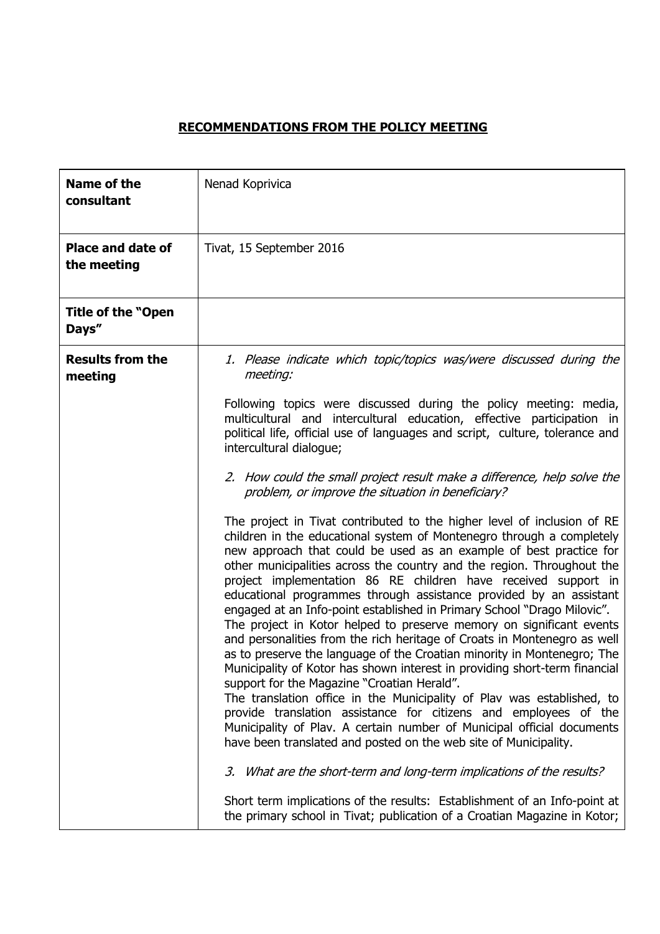## **RECOMMENDATIONS FROM THE POLICY MEETING**

| <b>Name of the</b><br>consultant        | Nenad Koprivica                                                                                                                                                                                                                                                                                                                                                                                                                                                                                                                                                                                                                                                                                                                                                                                                                                                                                                                                                                                                                                                                                                                                                             |
|-----------------------------------------|-----------------------------------------------------------------------------------------------------------------------------------------------------------------------------------------------------------------------------------------------------------------------------------------------------------------------------------------------------------------------------------------------------------------------------------------------------------------------------------------------------------------------------------------------------------------------------------------------------------------------------------------------------------------------------------------------------------------------------------------------------------------------------------------------------------------------------------------------------------------------------------------------------------------------------------------------------------------------------------------------------------------------------------------------------------------------------------------------------------------------------------------------------------------------------|
| <b>Place and date of</b><br>the meeting | Tivat, 15 September 2016                                                                                                                                                                                                                                                                                                                                                                                                                                                                                                                                                                                                                                                                                                                                                                                                                                                                                                                                                                                                                                                                                                                                                    |
| <b>Title of the "Open</b><br>Days"      |                                                                                                                                                                                                                                                                                                                                                                                                                                                                                                                                                                                                                                                                                                                                                                                                                                                                                                                                                                                                                                                                                                                                                                             |
| <b>Results from the</b><br>meeting      | 1. Please indicate which topic/topics was/were discussed during the<br>meeting:                                                                                                                                                                                                                                                                                                                                                                                                                                                                                                                                                                                                                                                                                                                                                                                                                                                                                                                                                                                                                                                                                             |
|                                         | Following topics were discussed during the policy meeting: media,<br>multicultural and intercultural education, effective participation in<br>political life, official use of languages and script, culture, tolerance and<br>intercultural dialogue;                                                                                                                                                                                                                                                                                                                                                                                                                                                                                                                                                                                                                                                                                                                                                                                                                                                                                                                       |
|                                         | 2. How could the small project result make a difference, help solve the<br>problem, or improve the situation in beneficiary?                                                                                                                                                                                                                                                                                                                                                                                                                                                                                                                                                                                                                                                                                                                                                                                                                                                                                                                                                                                                                                                |
|                                         | The project in Tivat contributed to the higher level of inclusion of RE<br>children in the educational system of Montenegro through a completely<br>new approach that could be used as an example of best practice for<br>other municipalities across the country and the region. Throughout the<br>project implementation 86 RE children have received support in<br>educational programmes through assistance provided by an assistant<br>engaged at an Info-point established in Primary School "Drago Milovic".<br>The project in Kotor helped to preserve memory on significant events<br>and personalities from the rich heritage of Croats in Montenegro as well<br>as to preserve the language of the Croatian minority in Montenegro; The<br>Municipality of Kotor has shown interest in providing short-term financial<br>support for the Magazine "Croatian Herald".<br>The translation office in the Municipality of Plav was established, to<br>provide translation assistance for citizens and employees of the<br>Municipality of Plav. A certain number of Municipal official documents<br>have been translated and posted on the web site of Municipality. |
|                                         | 3. What are the short-term and long-term implications of the results?                                                                                                                                                                                                                                                                                                                                                                                                                                                                                                                                                                                                                                                                                                                                                                                                                                                                                                                                                                                                                                                                                                       |
|                                         | Short term implications of the results: Establishment of an Info-point at<br>the primary school in Tivat; publication of a Croatian Magazine in Kotor;                                                                                                                                                                                                                                                                                                                                                                                                                                                                                                                                                                                                                                                                                                                                                                                                                                                                                                                                                                                                                      |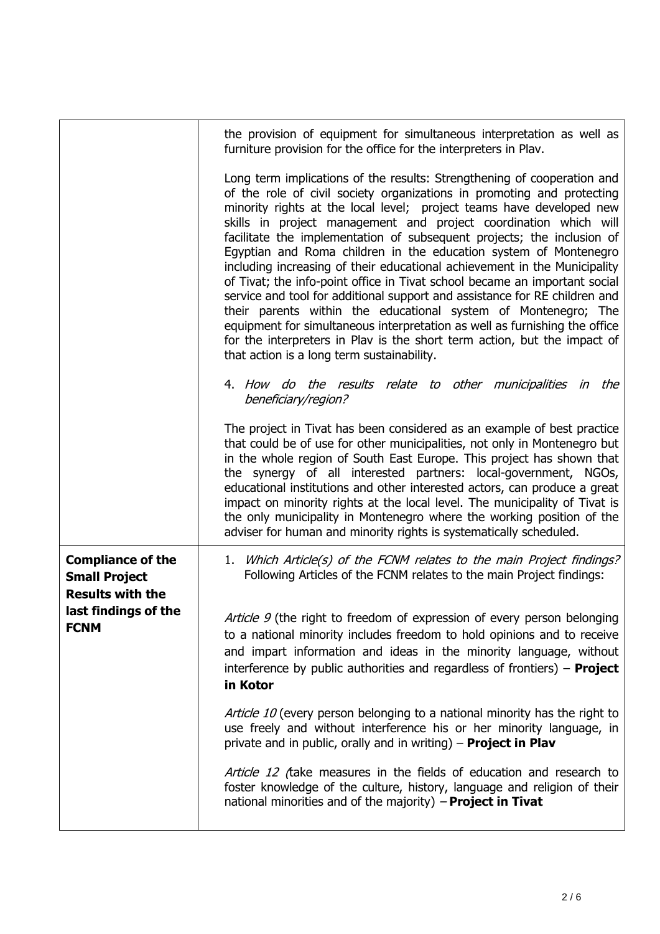|                                                                             | the provision of equipment for simultaneous interpretation as well as<br>furniture provision for the office for the interpreters in Plav.                                                                                                                                                                                                                                                                                                                                                                                                                                                                                                                                                                                                                                                                                                                                                                                                                      |
|-----------------------------------------------------------------------------|----------------------------------------------------------------------------------------------------------------------------------------------------------------------------------------------------------------------------------------------------------------------------------------------------------------------------------------------------------------------------------------------------------------------------------------------------------------------------------------------------------------------------------------------------------------------------------------------------------------------------------------------------------------------------------------------------------------------------------------------------------------------------------------------------------------------------------------------------------------------------------------------------------------------------------------------------------------|
|                                                                             | Long term implications of the results: Strengthening of cooperation and<br>of the role of civil society organizations in promoting and protecting<br>minority rights at the local level; project teams have developed new<br>skills in project management and project coordination which will<br>facilitate the implementation of subsequent projects; the inclusion of<br>Egyptian and Roma children in the education system of Montenegro<br>including increasing of their educational achievement in the Municipality<br>of Tivat; the info-point office in Tivat school became an important social<br>service and tool for additional support and assistance for RE children and<br>their parents within the educational system of Montenegro; The<br>equipment for simultaneous interpretation as well as furnishing the office<br>for the interpreters in Plav is the short term action, but the impact of<br>that action is a long term sustainability. |
|                                                                             | 4. How do the results relate to other municipalities in<br>the<br>beneficiary/region?                                                                                                                                                                                                                                                                                                                                                                                                                                                                                                                                                                                                                                                                                                                                                                                                                                                                          |
|                                                                             | The project in Tivat has been considered as an example of best practice<br>that could be of use for other municipalities, not only in Montenegro but<br>in the whole region of South East Europe. This project has shown that<br>the synergy of all interested partners: local-government, NGOs,<br>educational institutions and other interested actors, can produce a great<br>impact on minority rights at the local level. The municipality of Tivat is<br>the only municipality in Montenegro where the working position of the<br>adviser for human and minority rights is systematically scheduled.                                                                                                                                                                                                                                                                                                                                                     |
| <b>Compliance of the</b><br><b>Small Project</b><br><b>Results with the</b> | 1. Which Article(s) of the FCNM relates to the main Project findings?<br>Following Articles of the FCNM relates to the main Project findings:                                                                                                                                                                                                                                                                                                                                                                                                                                                                                                                                                                                                                                                                                                                                                                                                                  |
| last findings of the<br><b>FCNM</b>                                         | Article 9 (the right to freedom of expression of every person belonging<br>to a national minority includes freedom to hold opinions and to receive<br>and impart information and ideas in the minority language, without<br>interference by public authorities and regardless of frontiers) $-$ <b>Project</b><br>in Kotor                                                                                                                                                                                                                                                                                                                                                                                                                                                                                                                                                                                                                                     |
|                                                                             | Article 10 (every person belonging to a national minority has the right to<br>use freely and without interference his or her minority language, in<br>private and in public, orally and in writing) $-$ Project in Plav                                                                                                                                                                                                                                                                                                                                                                                                                                                                                                                                                                                                                                                                                                                                        |
|                                                                             | Article 12 (take measures in the fields of education and research to<br>foster knowledge of the culture, history, language and religion of their<br>national minorities and of the majority) $-$ Project in Tivat                                                                                                                                                                                                                                                                                                                                                                                                                                                                                                                                                                                                                                                                                                                                              |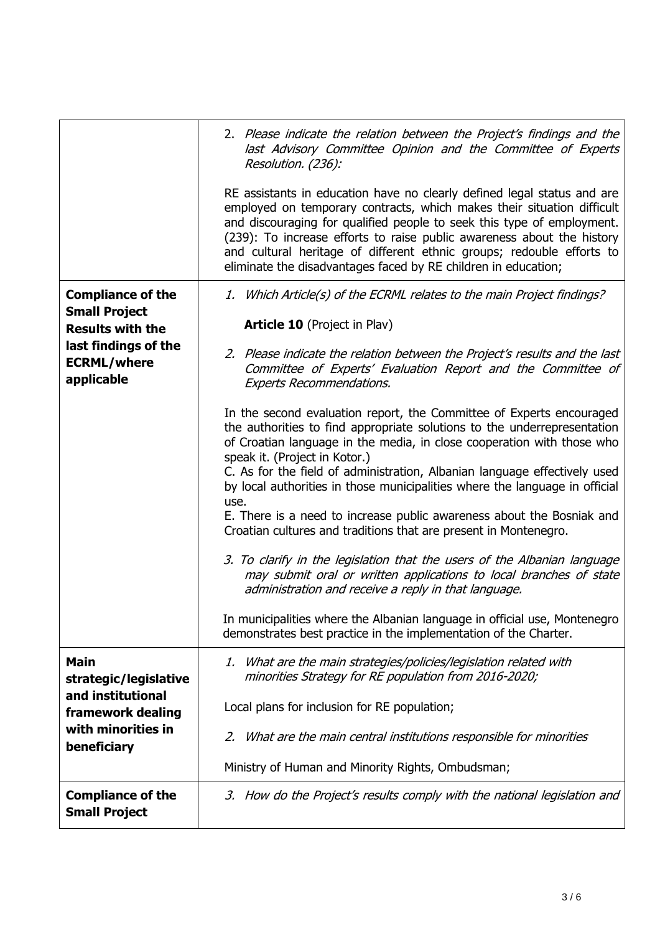|                                                                                                                     | 2. Please indicate the relation between the Project's findings and the<br>last Advisory Committee Opinion and the Committee of Experts<br>Resolution. (236):                                                                                                                                                                                                                                                                                     |
|---------------------------------------------------------------------------------------------------------------------|--------------------------------------------------------------------------------------------------------------------------------------------------------------------------------------------------------------------------------------------------------------------------------------------------------------------------------------------------------------------------------------------------------------------------------------------------|
|                                                                                                                     | RE assistants in education have no clearly defined legal status and are<br>employed on temporary contracts, which makes their situation difficult<br>and discouraging for qualified people to seek this type of employment.<br>(239): To increase efforts to raise public awareness about the history<br>and cultural heritage of different ethnic groups; redouble efforts to<br>eliminate the disadvantages faced by RE children in education; |
| <b>Compliance of the</b>                                                                                            | 1. Which Article(s) of the ECRML relates to the main Project findings?                                                                                                                                                                                                                                                                                                                                                                           |
| <b>Small Project</b><br><b>Results with the</b><br>last findings of the<br><b>ECRML/where</b><br>applicable         | <b>Article 10 (Project in Plav)</b>                                                                                                                                                                                                                                                                                                                                                                                                              |
|                                                                                                                     | 2. Please indicate the relation between the Project's results and the last<br>Committee of Experts' Evaluation Report and the Committee of<br><b>Experts Recommendations.</b>                                                                                                                                                                                                                                                                    |
|                                                                                                                     | In the second evaluation report, the Committee of Experts encouraged<br>the authorities to find appropriate solutions to the underrepresentation<br>of Croatian language in the media, in close cooperation with those who<br>speak it. (Project in Kotor.)<br>C. As for the field of administration, Albanian language effectively used<br>by local authorities in those municipalities where the language in official<br>use.                  |
|                                                                                                                     | E. There is a need to increase public awareness about the Bosniak and<br>Croatian cultures and traditions that are present in Montenegro.                                                                                                                                                                                                                                                                                                        |
|                                                                                                                     | 3. To clarify in the legislation that the users of the Albanian language<br>may submit oral or written applications to local branches of state<br>administration and receive a reply in that language.                                                                                                                                                                                                                                           |
|                                                                                                                     | In municipalities where the Albanian language in official use, Montenegro<br>demonstrates best practice in the implementation of the Charter.                                                                                                                                                                                                                                                                                                    |
| <b>Main</b><br>strategic/legislative<br>and institutional<br>framework dealing<br>with minorities in<br>beneficiary | 1. What are the main strategies/policies/legislation related with<br>minorities Strategy for RE population from 2016-2020;                                                                                                                                                                                                                                                                                                                       |
|                                                                                                                     | Local plans for inclusion for RE population;                                                                                                                                                                                                                                                                                                                                                                                                     |
|                                                                                                                     | 2. What are the main central institutions responsible for minorities                                                                                                                                                                                                                                                                                                                                                                             |
|                                                                                                                     | Ministry of Human and Minority Rights, Ombudsman;                                                                                                                                                                                                                                                                                                                                                                                                |
| <b>Compliance of the</b><br><b>Small Project</b>                                                                    | 3. How do the Project's results comply with the national legislation and                                                                                                                                                                                                                                                                                                                                                                         |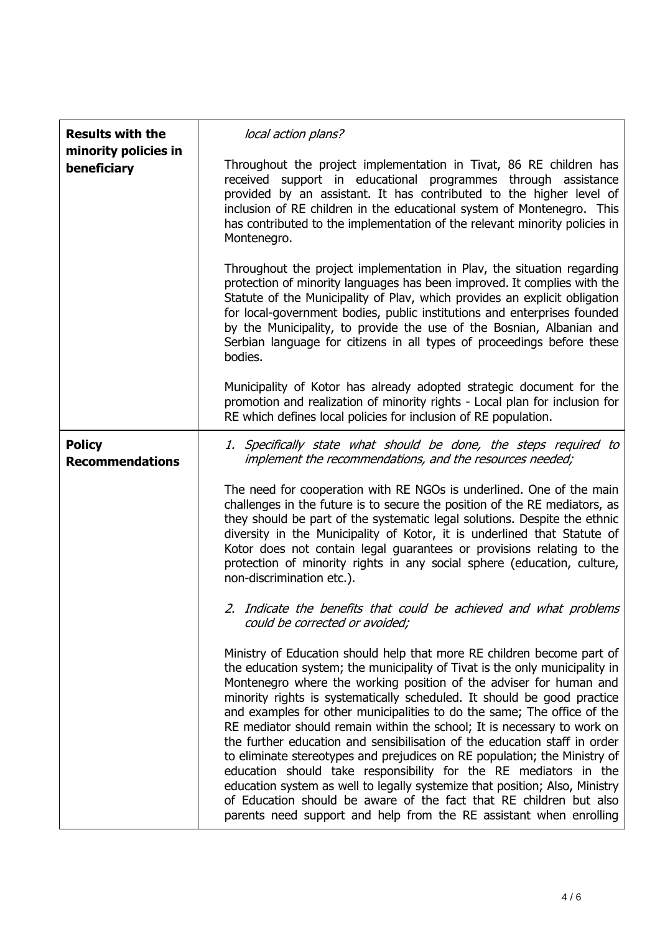| <b>Results with the</b><br>minority policies in<br>beneficiary | local action plans?                                                                                                                                                                                                                                                                                                                                                                                                                                                                                                                                                                                                                                                                                                                                                                                                                                                                                                   |
|----------------------------------------------------------------|-----------------------------------------------------------------------------------------------------------------------------------------------------------------------------------------------------------------------------------------------------------------------------------------------------------------------------------------------------------------------------------------------------------------------------------------------------------------------------------------------------------------------------------------------------------------------------------------------------------------------------------------------------------------------------------------------------------------------------------------------------------------------------------------------------------------------------------------------------------------------------------------------------------------------|
|                                                                | Throughout the project implementation in Tivat, 86 RE children has<br>received support in educational programmes through assistance<br>provided by an assistant. It has contributed to the higher level of<br>inclusion of RE children in the educational system of Montenegro. This<br>has contributed to the implementation of the relevant minority policies in<br>Montenegro.                                                                                                                                                                                                                                                                                                                                                                                                                                                                                                                                     |
|                                                                | Throughout the project implementation in Plav, the situation regarding<br>protection of minority languages has been improved. It complies with the<br>Statute of the Municipality of Plav, which provides an explicit obligation<br>for local-government bodies, public institutions and enterprises founded<br>by the Municipality, to provide the use of the Bosnian, Albanian and<br>Serbian language for citizens in all types of proceedings before these<br>bodies.                                                                                                                                                                                                                                                                                                                                                                                                                                             |
|                                                                | Municipality of Kotor has already adopted strategic document for the<br>promotion and realization of minority rights - Local plan for inclusion for<br>RE which defines local policies for inclusion of RE population.                                                                                                                                                                                                                                                                                                                                                                                                                                                                                                                                                                                                                                                                                                |
| <b>Policy</b><br><b>Recommendations</b>                        | 1. Specifically state what should be done, the steps required to<br>implement the recommendations, and the resources needed;                                                                                                                                                                                                                                                                                                                                                                                                                                                                                                                                                                                                                                                                                                                                                                                          |
|                                                                | The need for cooperation with RE NGOs is underlined. One of the main<br>challenges in the future is to secure the position of the RE mediators, as<br>they should be part of the systematic legal solutions. Despite the ethnic<br>diversity in the Municipality of Kotor, it is underlined that Statute of<br>Kotor does not contain legal guarantees or provisions relating to the<br>protection of minority rights in any social sphere (education, culture,<br>non-discrimination etc.).                                                                                                                                                                                                                                                                                                                                                                                                                          |
|                                                                | 2. Indicate the benefits that could be achieved and what problems<br>could be corrected or avoided;                                                                                                                                                                                                                                                                                                                                                                                                                                                                                                                                                                                                                                                                                                                                                                                                                   |
|                                                                | Ministry of Education should help that more RE children become part of<br>the education system; the municipality of Tivat is the only municipality in<br>Montenegro where the working position of the adviser for human and<br>minority rights is systematically scheduled. It should be good practice<br>and examples for other municipalities to do the same; The office of the<br>RE mediator should remain within the school; It is necessary to work on<br>the further education and sensibilisation of the education staff in order<br>to eliminate stereotypes and prejudices on RE population; the Ministry of<br>education should take responsibility for the RE mediators in the<br>education system as well to legally systemize that position; Also, Ministry<br>of Education should be aware of the fact that RE children but also<br>parents need support and help from the RE assistant when enrolling |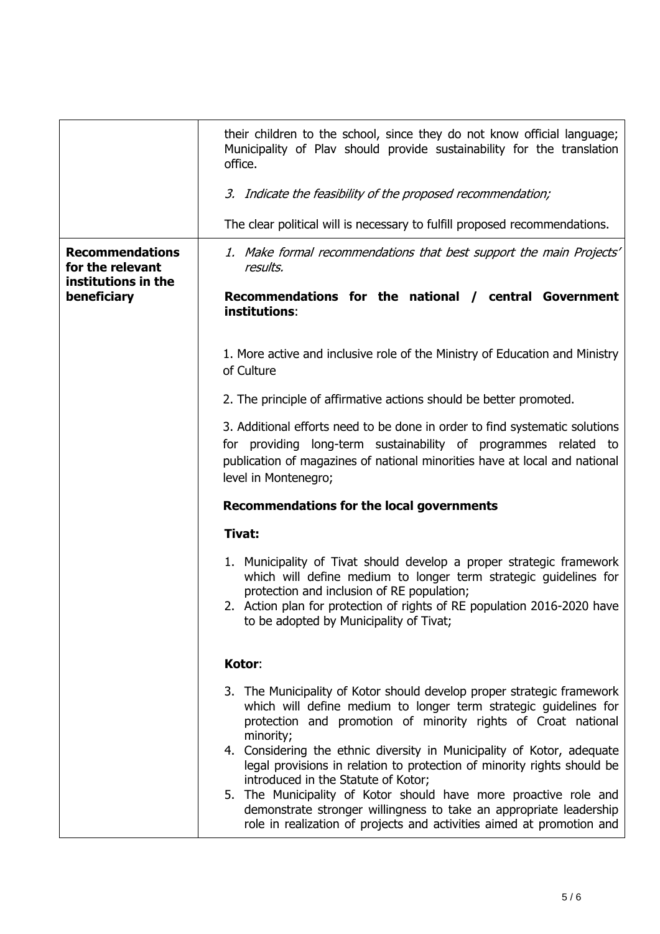|                                                                                  | their children to the school, since they do not know official language;<br>Municipality of Plav should provide sustainability for the translation<br>office.                                                                                                                                                                                                                                                                                                                                                                                                                                                                            |
|----------------------------------------------------------------------------------|-----------------------------------------------------------------------------------------------------------------------------------------------------------------------------------------------------------------------------------------------------------------------------------------------------------------------------------------------------------------------------------------------------------------------------------------------------------------------------------------------------------------------------------------------------------------------------------------------------------------------------------------|
|                                                                                  | 3. Indicate the feasibility of the proposed recommendation;                                                                                                                                                                                                                                                                                                                                                                                                                                                                                                                                                                             |
|                                                                                  | The clear political will is necessary to fulfill proposed recommendations.                                                                                                                                                                                                                                                                                                                                                                                                                                                                                                                                                              |
| <b>Recommendations</b><br>for the relevant<br>institutions in the<br>beneficiary | 1. Make formal recommendations that best support the main Projects'<br>results.                                                                                                                                                                                                                                                                                                                                                                                                                                                                                                                                                         |
|                                                                                  | Recommendations for the national / central Government<br>institutions:                                                                                                                                                                                                                                                                                                                                                                                                                                                                                                                                                                  |
|                                                                                  | 1. More active and inclusive role of the Ministry of Education and Ministry<br>of Culture                                                                                                                                                                                                                                                                                                                                                                                                                                                                                                                                               |
|                                                                                  | 2. The principle of affirmative actions should be better promoted.                                                                                                                                                                                                                                                                                                                                                                                                                                                                                                                                                                      |
|                                                                                  | 3. Additional efforts need to be done in order to find systematic solutions<br>for providing long-term sustainability of programmes related to<br>publication of magazines of national minorities have at local and national<br>level in Montenegro;                                                                                                                                                                                                                                                                                                                                                                                    |
|                                                                                  | <b>Recommendations for the local governments</b>                                                                                                                                                                                                                                                                                                                                                                                                                                                                                                                                                                                        |
|                                                                                  | Tivat:                                                                                                                                                                                                                                                                                                                                                                                                                                                                                                                                                                                                                                  |
|                                                                                  | 1. Municipality of Tivat should develop a proper strategic framework<br>which will define medium to longer term strategic guidelines for<br>protection and inclusion of RE population;<br>2. Action plan for protection of rights of RE population 2016-2020 have<br>to be adopted by Municipality of Tivat;                                                                                                                                                                                                                                                                                                                            |
|                                                                                  | Kotor:                                                                                                                                                                                                                                                                                                                                                                                                                                                                                                                                                                                                                                  |
|                                                                                  | 3. The Municipality of Kotor should develop proper strategic framework<br>which will define medium to longer term strategic guidelines for<br>protection and promotion of minority rights of Croat national<br>minority;<br>4. Considering the ethnic diversity in Municipality of Kotor, adequate<br>legal provisions in relation to protection of minority rights should be<br>introduced in the Statute of Kotor;<br>5. The Municipality of Kotor should have more proactive role and<br>demonstrate stronger willingness to take an appropriate leadership<br>role in realization of projects and activities aimed at promotion and |